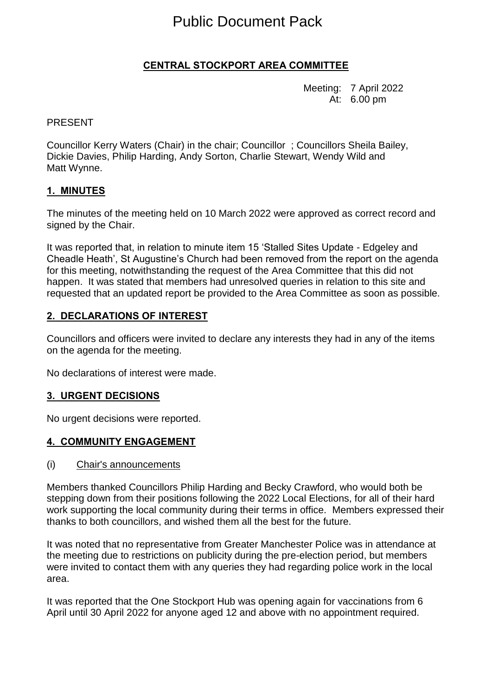# Public Document Pack

# **CENTRAL STOCKPORT AREA COMMITTEE**

Meeting: 7 April 2022 At: 6.00 pm

#### PRESENT

Councillor Kerry Waters (Chair) in the chair; Councillor ; Councillors Sheila Bailey, Dickie Davies, Philip Harding, Andy Sorton, Charlie Stewart, Wendy Wild and Matt Wynne.

#### **1. MINUTES**

The minutes of the meeting held on 10 March 2022 were approved as correct record and signed by the Chair.

It was reported that, in relation to minute item 15 'Stalled Sites Update - Edgeley and Cheadle Heath', St Augustine's Church had been removed from the report on the agenda for this meeting, notwithstanding the request of the Area Committee that this did not happen. It was stated that members had unresolved queries in relation to this site and requested that an updated report be provided to the Area Committee as soon as possible.

#### **2. DECLARATIONS OF INTEREST**

Councillors and officers were invited to declare any interests they had in any of the items on the agenda for the meeting.

No declarations of interest were made.

#### **3. URGENT DECISIONS**

No urgent decisions were reported.

#### **4. COMMUNITY ENGAGEMENT**

(i) Chair's announcements

Members thanked Councillors Philip Harding and Becky Crawford, who would both be stepping down from their positions following the 2022 Local Elections, for all of their hard work supporting the local community during their terms in office. Members expressed their thanks to both councillors, and wished them all the best for the future.

It was noted that no representative from Greater Manchester Police was in attendance at the meeting due to restrictions on publicity during the pre-election period, but members were invited to contact them with any queries they had regarding police work in the local area.

It was reported that the One Stockport Hub was opening again for vaccinations from 6 April until 30 April 2022 for anyone aged 12 and above with no appointment required.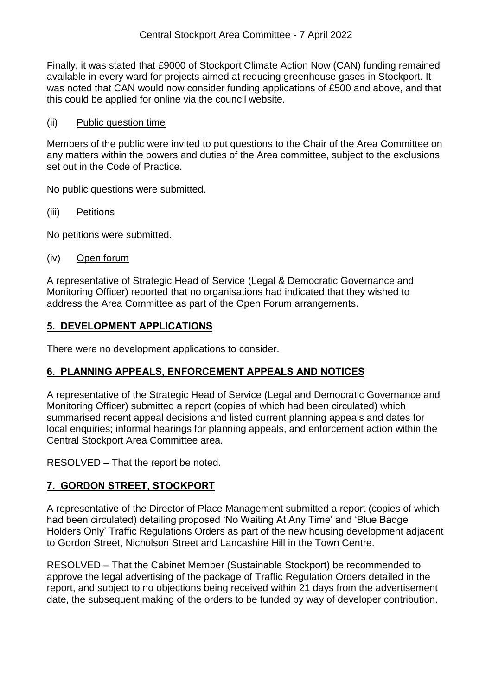Finally, it was stated that £9000 of Stockport Climate Action Now (CAN) funding remained available in every ward for projects aimed at reducing greenhouse gases in Stockport. It was noted that CAN would now consider funding applications of £500 and above, and that this could be applied for online via the council website.

#### (ii) Public question time

Members of the public were invited to put questions to the Chair of the Area Committee on any matters within the powers and duties of the Area committee, subject to the exclusions set out in the Code of Practice.

No public questions were submitted.

(iii) Petitions

No petitions were submitted.

(iv) Open forum

A representative of Strategic Head of Service (Legal & Democratic Governance and Monitoring Officer) reported that no organisations had indicated that they wished to address the Area Committee as part of the Open Forum arrangements.

# **5. DEVELOPMENT APPLICATIONS**

There were no development applications to consider.

## **6. PLANNING APPEALS, ENFORCEMENT APPEALS AND NOTICES**

A representative of the Strategic Head of Service (Legal and Democratic Governance and Monitoring Officer) submitted a report (copies of which had been circulated) which summarised recent appeal decisions and listed current planning appeals and dates for local enquiries; informal hearings for planning appeals, and enforcement action within the Central Stockport Area Committee area.

RESOLVED – That the report be noted.

# **7. GORDON STREET, STOCKPORT**

A representative of the Director of Place Management submitted a report (copies of which had been circulated) detailing proposed 'No Waiting At Any Time' and 'Blue Badge Holders Only' Traffic Regulations Orders as part of the new housing development adjacent to Gordon Street, Nicholson Street and Lancashire Hill in the Town Centre.

RESOLVED – That the Cabinet Member (Sustainable Stockport) be recommended to approve the legal advertising of the package of Traffic Regulation Orders detailed in the report, and subject to no objections being received within 21 days from the advertisement date, the subsequent making of the orders to be funded by way of developer contribution.